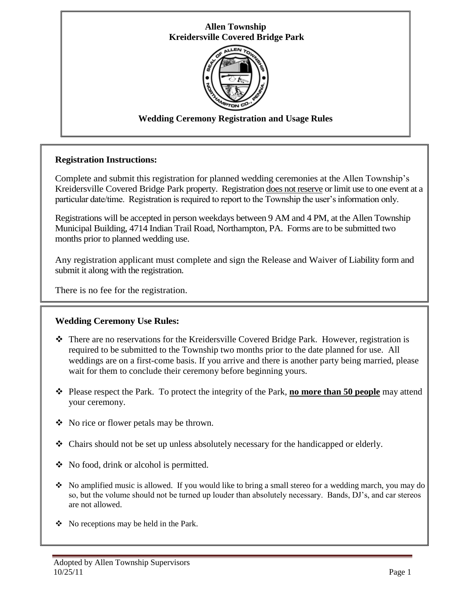# **Allen Township Kreidersville Covered Bridge Park**



# **Wedding Ceremony Registration and Usage Rules**

## **Registration Instructions:**

Complete and submit this registration for planned wedding ceremonies at the Allen Township's Kreidersville Covered Bridge Park property. Registration does not reserve or limit use to one event at a particular date/time. Registration is required to report to the Township the user's information only.

Registrations will be accepted in person weekdays between 9 AM and 4 PM, at the Allen Township Municipal Building, 4714 Indian Trail Road, Northampton, PA. Forms are to be submitted two months prior to planned wedding use.

Any registration applicant must complete and sign the Release and Waiver of Liability form and submit it along with the registration.

There is no fee for the registration.

## **Wedding Ceremony Use Rules:**

- There are no reservations for the Kreidersville Covered Bridge Park. However, registration is required to be submitted to the Township two months prior to the date planned for use. All weddings are on a first-come basis. If you arrive and there is another party being married, please wait for them to conclude their ceremony before beginning yours.
- Please respect the Park. To protect the integrity of the Park, **no more than 50 people** may attend your ceremony.
- No rice or flower petals may be thrown.
- Chairs should not be set up unless absolutely necessary for the handicapped or elderly.
- $\bullet$  No food, drink or alcohol is permitted.
- $\bullet$  No amplified music is allowed. If you would like to bring a small stereo for a wedding march, you may do so, but the volume should not be turned up louder than absolutely necessary. Bands, DJ's, and car stereos are not allowed.
- $\bullet$  No receptions may be held in the Park.